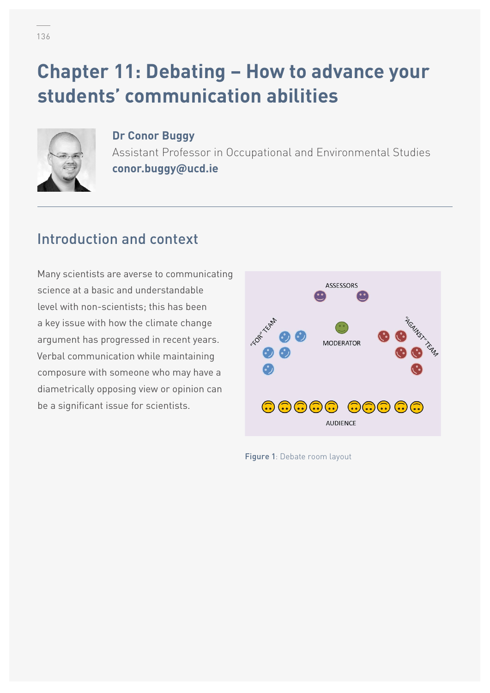# **Chapter 11: Debating – How to advance your students' communication abilities**



**Dr Conor Buggy** Assistant Professor in Occupational and Environmental Studies **conor.buggy@ucd.ie** 

### Introduction and context

Many scientists are averse to communicating science at a basic and understandable level with non-scientists; this has been a key issue with how the climate change argument has progressed in recent years. Verbal communication while maintaining composure with someone who may have a diametrically opposing view or opinion can be a significant issue for scientists.



Figure 1: Debate room layout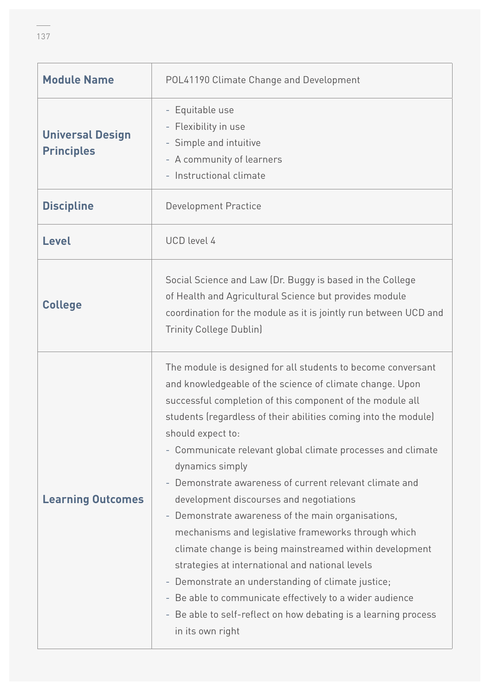| <b>Module Name</b>                           | POL41190 Climate Change and Development                                                                                                                                                                                                                                                                                                                                                                                                                                                                                                                                                                                                                                                                                                                                                                                                                                                                                                                                  |  |  |  |  |  |  |  |
|----------------------------------------------|--------------------------------------------------------------------------------------------------------------------------------------------------------------------------------------------------------------------------------------------------------------------------------------------------------------------------------------------------------------------------------------------------------------------------------------------------------------------------------------------------------------------------------------------------------------------------------------------------------------------------------------------------------------------------------------------------------------------------------------------------------------------------------------------------------------------------------------------------------------------------------------------------------------------------------------------------------------------------|--|--|--|--|--|--|--|
| <b>Universal Design</b><br><b>Principles</b> | - Equitable use<br>- Flexibility in use<br>- Simple and intuitive<br>- A community of learners<br>- Instructional climate                                                                                                                                                                                                                                                                                                                                                                                                                                                                                                                                                                                                                                                                                                                                                                                                                                                |  |  |  |  |  |  |  |
| <b>Discipline</b>                            | <b>Development Practice</b>                                                                                                                                                                                                                                                                                                                                                                                                                                                                                                                                                                                                                                                                                                                                                                                                                                                                                                                                              |  |  |  |  |  |  |  |
| <b>Level</b>                                 | <b>UCD</b> level 4                                                                                                                                                                                                                                                                                                                                                                                                                                                                                                                                                                                                                                                                                                                                                                                                                                                                                                                                                       |  |  |  |  |  |  |  |
| <b>College</b>                               | Social Science and Law (Dr. Buggy is based in the College<br>of Health and Agricultural Science but provides module<br>coordination for the module as it is jointly run between UCD and<br><b>Trinity College Dublin)</b>                                                                                                                                                                                                                                                                                                                                                                                                                                                                                                                                                                                                                                                                                                                                                |  |  |  |  |  |  |  |
| <b>Learning Outcomes</b>                     | The module is designed for all students to become conversant<br>and knowledgeable of the science of climate change. Upon<br>successful completion of this component of the module all<br>students (regardless of their abilities coming into the module)<br>should expect to:<br>- Communicate relevant global climate processes and climate<br>dynamics simply<br>Demonstrate awareness of current relevant climate and<br>development discourses and negotiations<br>Demonstrate awareness of the main organisations,<br>$\equiv$<br>mechanisms and legislative frameworks through which<br>climate change is being mainstreamed within development<br>strategies at international and national levels<br>Demonstrate an understanding of climate justice;<br>$\overline{\phantom{a}}$<br>Be able to communicate effectively to a wider audience<br>÷<br>Be able to self-reflect on how debating is a learning process<br>$\overline{\phantom{a}}$<br>in its own right |  |  |  |  |  |  |  |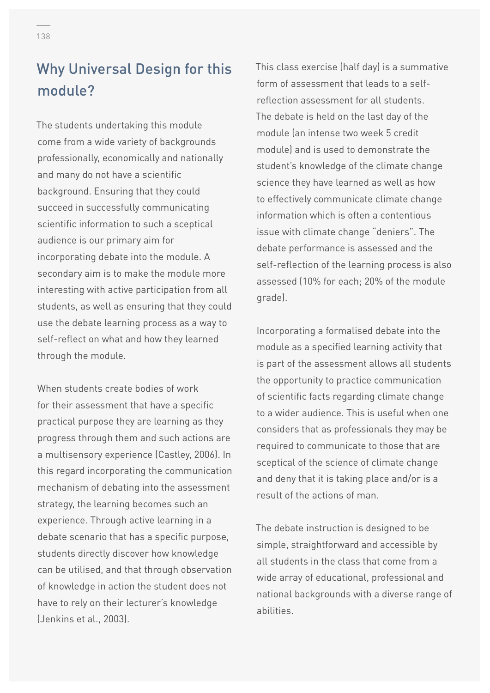# Why Universal Design for this module?

The students undertaking this module come from a wide variety of backgrounds professionally, economically and nationally and many do not have a scientific background. Ensuring that they could succeed in successfully communicating scientific information to such a sceptical audience is our primary aim for incorporating debate into the module. A secondary aim is to make the module more interesting with active participation from all students, as well as ensuring that they could use the debate learning process as a way to self-reflect on what and how they learned through the module.

When students create bodies of work for their assessment that have a specific practical purpose they are learning as they progress through them and such actions are a multisensory experience (Castley, 2006). In this regard incorporating the communication mechanism of debating into the assessment strategy, the learning becomes such an experience. Through active learning in a debate scenario that has a specific purpose, students directly discover how knowledge can be utilised, and that through observation of knowledge in action the student does not have to rely on their lecturer's knowledge (Jenkins et al., 2003).

This class exercise (half day) is a summative form of assessment that leads to a selfreflection assessment for all students. The debate is held on the last day of the module (an intense two week 5 credit module) and is used to demonstrate the student's knowledge of the climate change science they have learned as well as how to effectively communicate climate change information which is often a contentious issue with climate change "deniers". The debate performance is assessed and the self-reflection of the learning process is also assessed (10% for each; 20% of the module grade).

Incorporating a formalised debate into the module as a specified learning activity that is part of the assessment allows all students the opportunity to practice communication of scientific facts regarding climate change to a wider audience. This is useful when one considers that as professionals they may be required to communicate to those that are sceptical of the science of climate change and deny that it is taking place and/or is a result of the actions of man.

The debate instruction is designed to be simple, straightforward and accessible by all students in the class that come from a wide array of educational, professional and national backgrounds with a diverse range of abilities.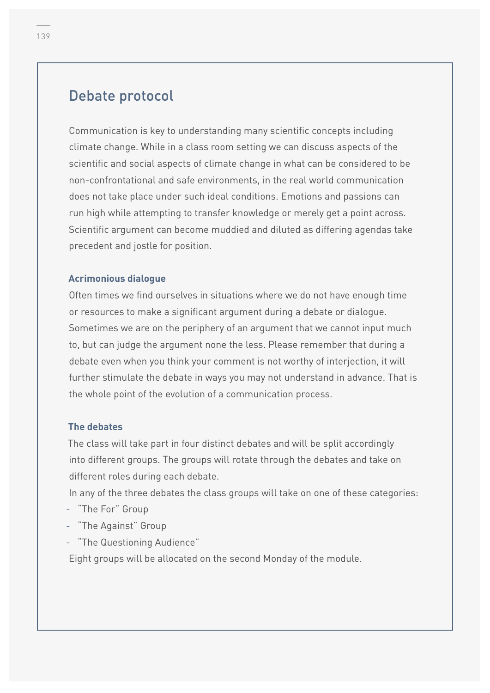### Debate protocol

Communication is key to understanding many scientific concepts including climate change. While in a class room setting we can discuss aspects of the scientific and social aspects of climate change in what can be considered to be non-confrontational and safe environments, in the real world communication does not take place under such ideal conditions. Emotions and passions can run high while attempting to transfer knowledge or merely get a point across. Scientific argument can become muddied and diluted as differing agendas take precedent and jostle for position.

#### **Acrimonious dialogue**

Often times we find ourselves in situations where we do not have enough time or resources to make a significant argument during a debate or dialogue. Sometimes we are on the periphery of an argument that we cannot input much to, but can judge the argument none the less. Please remember that during a debate even when you think your comment is not worthy of interjection, it will further stimulate the debate in ways you may not understand in advance. That is the whole point of the evolution of a communication process.

#### **The debates**

The class will take part in four distinct debates and will be split accordingly into different groups. The groups will rotate through the debates and take on different roles during each debate.

In any of the three debates the class groups will take on one of these categories:

- "The For" Group
- "The Against" Group
- "The Questioning Audience"

Eight groups will be allocated on the second Monday of the module.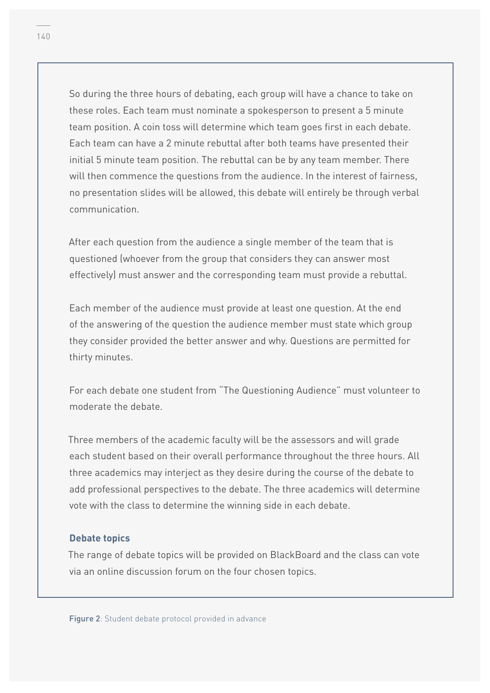So during the three hours of debating, each group will have a chance to take on these roles. Each team must nominate a spokesperson to present a 5 minute team position. A coin toss will determine which team goes first in each debate. Each team can have a 2 minute rebuttal after both teams have presented their initial 5 minute team position. The rebuttal can be by any team member. There will then commence the questions from the audience. In the interest of fairness, no presentation slides will be allowed, this debate will entirely be through verbal communication.

After each question from the audience a single member of the team that is questioned (whoever from the group that considers they can answer most effectively) must answer and the corresponding team must provide a rebuttal.

Each member of the audience must provide at least one question. At the end of the answering of the question the audience member must state which group they consider provided the better answer and why. Questions are permitted for thirty minutes.

For each debate one student from "The Questioning Audience" must volunteer to moderate the debate.

Three members of the academic faculty will be the assessors and will grade each student based on their overall performance throughout the three hours. All three academics may interject as they desire during the course of the debate to add professional perspectives to the debate. The three academics will determine vote with the class to determine the winning side in each debate.

#### **Debate topics**

The range of debate topics will be provided on BlackBoard and the class can vote via an online discussion forum on the four chosen topics.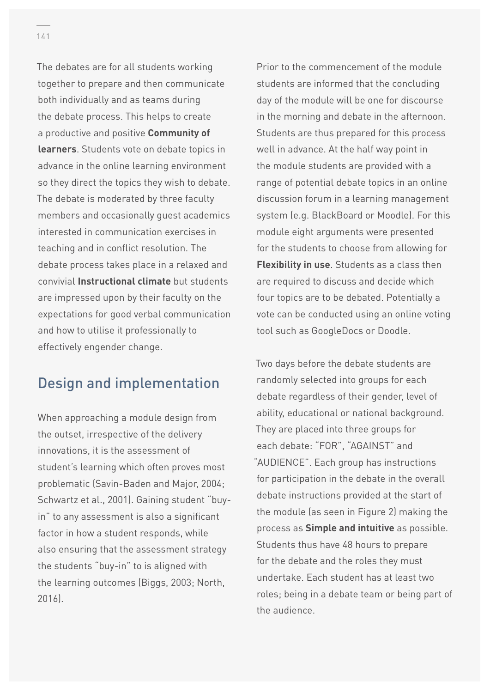The debates are for all students working together to prepare and then communicate both individually and as teams during the debate process. This helps to create a productive and positive **Community of learners**. Students vote on debate topics in advance in the online learning environment so they direct the topics they wish to debate. The debate is moderated by three faculty members and occasionally guest academics interested in communication exercises in teaching and in conflict resolution. The debate process takes place in a relaxed and convivial **Instructional climate** but students are impressed upon by their faculty on the expectations for good verbal communication and how to utilise it professionally to effectively engender change.

### Design and implementation

When approaching a module design from the outset, irrespective of the delivery innovations, it is the assessment of student's learning which often proves most problematic (Savin-Baden and Major, 2004; Schwartz et al., 2001). Gaining student "buyin" to any assessment is also a significant factor in how a student responds, while also ensuring that the assessment strategy the students "buy-in" to is aligned with the learning outcomes (Biggs, 2003; North, 2016).

Prior to the commencement of the module students are informed that the concluding day of the module will be one for discourse in the morning and debate in the afternoon. Students are thus prepared for this process well in advance. At the half way point in the module students are provided with a range of potential debate topics in an online discussion forum in a learning management system (e.g. BlackBoard or Moodle). For this module eight arguments were presented for the students to choose from allowing for **Flexibility in use**. Students as a class then are required to discuss and decide which four topics are to be debated. Potentially a vote can be conducted using an online voting tool such as GoogleDocs or Doodle.

Two days before the debate students are randomly selected into groups for each debate regardless of their gender, level of ability, educational or national background. They are placed into three groups for each debate: "FOR", "AGAINST" and "AUDIENCE". Each group has instructions for participation in the debate in the overall debate instructions provided at the start of the module (as seen in Figure 2) making the process as **Simple and intuitive** as possible. Students thus have 48 hours to prepare for the debate and the roles they must undertake. Each student has at least two roles; being in a debate team or being part of the audience.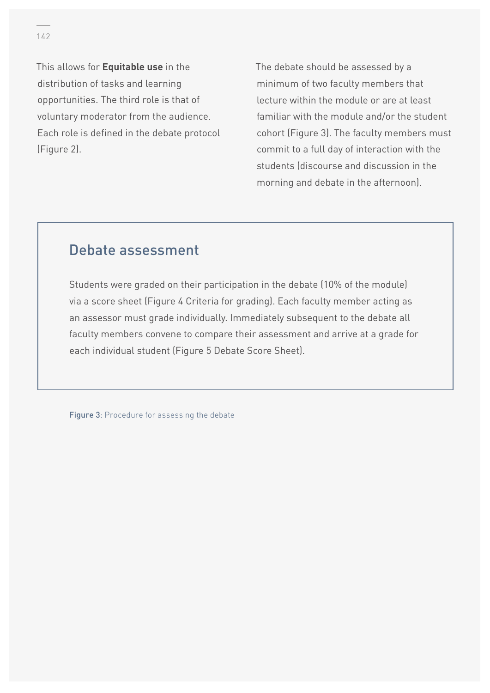This allows for **Equitable use** in the distribution of tasks and learning opportunities. The third role is that of voluntary moderator from the audience. Each role is defined in the debate protocol (Figure 2).

The debate should be assessed by a minimum of two faculty members that lecture within the module or are at least familiar with the module and/or the student cohort (Figure 3). The faculty members must commit to a full day of interaction with the students (discourse and discussion in the morning and debate in the afternoon).

### Debate assessment

Students were graded on their participation in the debate (10% of the module) via a score sheet (Figure 4 Criteria for grading). Each faculty member acting as an assessor must grade individually. Immediately subsequent to the debate all faculty members convene to compare their assessment and arrive at a grade for each individual student (Figure 5 Debate Score Sheet).

Figure 3: Procedure for assessing the debate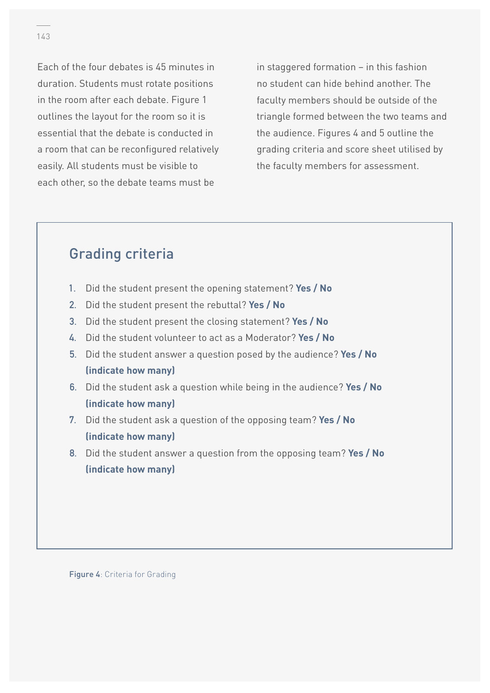Each of the four debates is 45 minutes in duration. Students must rotate positions in the room after each debate. Figure 1 outlines the layout for the room so it is essential that the debate is conducted in a room that can be reconfigured relatively easily. All students must be visible to each other, so the debate teams must be

in staggered formation – in this fashion no student can hide behind another. The faculty members should be outside of the triangle formed between the two teams and the audience. Figures 4 and 5 outline the grading criteria and score sheet utilised by the faculty members for assessment.

### Grading criteria

- **1.** Did the student present the opening statement? **Yes / No**
- **2.** Did the student present the rebuttal? **Yes / No**
- **3.** Did the student present the closing statement? **Yes / No**
- **4.** Did the student volunteer to act as a Moderator? **Yes / No**
- **5.** Did the student answer a question posed by the audience? **Yes / No (indicate how many)**
- **6.** Did the student ask a question while being in the audience? **Yes / No (indicate how many)**
- **7.** Did the student ask a question of the opposing team? **Yes / No (indicate how many)**
- **8.** Did the student answer a question from the opposing team? **Yes / No (indicate how many)**

Figure 4: Criteria for Grading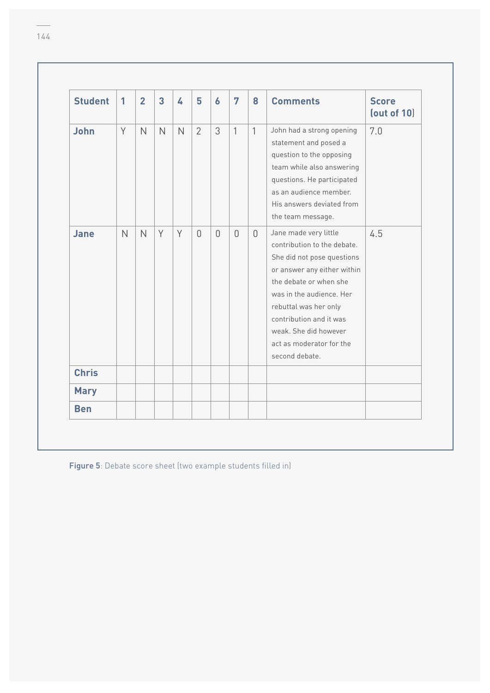| <b>Student</b> | $\mathbf{1}$   | $\overline{2}$ | $\overline{3}$ | 4            | 5              | $\boldsymbol{6}$ | 7            | 8            | <b>Comments</b>                                                                                                                                                                                                                                                                                    | <b>Score</b><br>$\left($ out of 10 $\right)$ |
|----------------|----------------|----------------|----------------|--------------|----------------|------------------|--------------|--------------|----------------------------------------------------------------------------------------------------------------------------------------------------------------------------------------------------------------------------------------------------------------------------------------------------|----------------------------------------------|
| <b>John</b>    | Y              | $\overline{N}$ | $\mathsf{N}$   | $\mathsf{N}$ | $\overline{2}$ | 3                | $\mathbf{1}$ | $\mathbf{1}$ | John had a strong opening<br>statement and posed a<br>question to the opposing<br>team while also answering<br>questions. He participated<br>as an audience member.<br>His answers deviated from<br>the team message.                                                                              | 7.0                                          |
| Jane           | $\overline{N}$ | $\mathsf{N}$   | Y              | Y            | $\Omega$       | $\Omega$         | $\Omega$     | $\Omega$     | Jane made very little<br>contribution to the debate.<br>She did not pose questions<br>or answer any either within<br>the debate or when she<br>was in the audience. Her<br>rebuttal was her only<br>contribution and it was<br>weak. She did however<br>act as moderator for the<br>second debate. | 4.5                                          |
| <b>Chris</b>   |                |                |                |              |                |                  |              |              |                                                                                                                                                                                                                                                                                                    |                                              |
| <b>Mary</b>    |                |                |                |              |                |                  |              |              |                                                                                                                                                                                                                                                                                                    |                                              |
| <b>Ben</b>     |                |                |                |              |                |                  |              |              |                                                                                                                                                                                                                                                                                                    |                                              |

Figure 5: Debate score sheet (two example students filled in)

 $\overline{\phantom{a}}$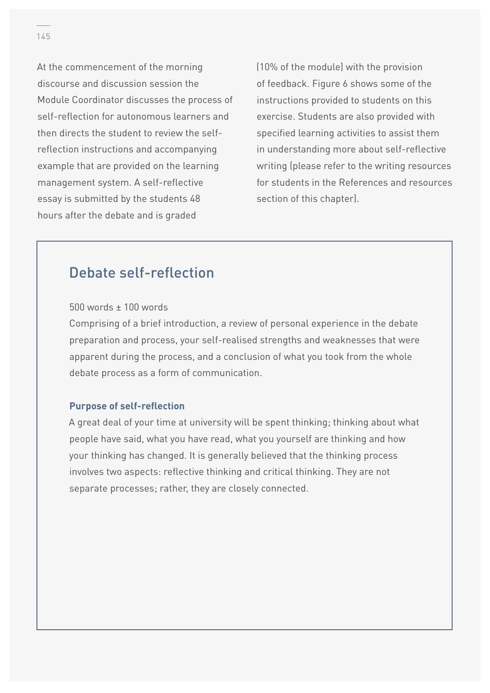At the commencement of the morning discourse and discussion session the Module Coordinator discusses the process of self-reflection for autonomous learners and then directs the student to review the selfreflection instructions and accompanying example that are provided on the learning management system. A self-reflective essay is submitted by the students 48 hours after the debate and is graded

(10% of the module) with the provision of feedback. Figure 6 shows some of the instructions provided to students on this exercise. Students are also provided with specified learning activities to assist them in understanding more about self-reflective writing (please refer to the writing resources for students in the References and resources section of this chapter).

### Debate self-reflection

#### 500 words ± 100 words

Comprising of a brief introduction, a review of personal experience in the debate preparation and process, your self-realised strengths and weaknesses that were apparent during the process, and a conclusion of what you took from the whole debate process as a form of communication.

#### **Purpose of self-reflection**

A great deal of your time at university will be spent thinking; thinking about what people have said, what you have read, what you yourself are thinking and how your thinking has changed. It is generally believed that the thinking process involves two aspects: reflective thinking and critical thinking. They are not separate processes; rather, they are closely connected.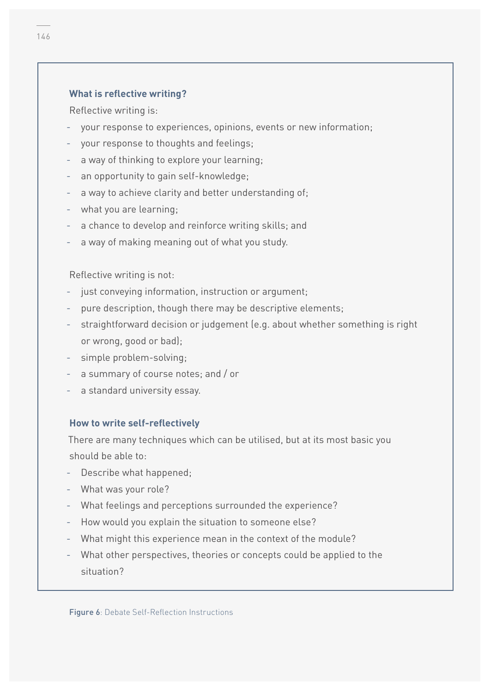#### **What is reflective writing?**

Reflective writing is:

- your response to experiences, opinions, events or new information;
- your response to thoughts and feelings;
- a way of thinking to explore your learning;
- an opportunity to gain self-knowledge;
- a way to achieve clarity and better understanding of;
- what you are learning;
- a chance to develop and reinforce writing skills; and
- a way of making meaning out of what you study.

Reflective writing is not:

- just conveying information, instruction or argument;
- pure description, though there may be descriptive elements;
- straightforward decision or judgement (e.g. about whether something is right or wrong, good or bad);
- simple problem-solving;
- a summary of course notes; and / or
- a standard university essay.

#### **How to write self-reflectively**

There are many techniques which can be utilised, but at its most basic you should be able to:

- Describe what happened;
- What was your role?
- What feelings and perceptions surrounded the experience?
- How would you explain the situation to someone else?
- What might this experience mean in the context of the module?
- What other perspectives, theories or concepts could be applied to the situation?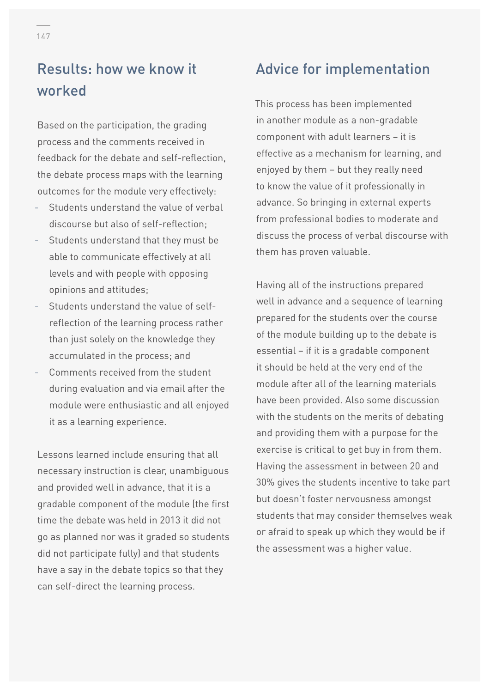# Results: how we know it worked

Based on the participation, the grading process and the comments received in feedback for the debate and self-reflection, the debate process maps with the learning outcomes for the module very effectively:

- Students understand the value of verbal discourse but also of self-reflection;
- Students understand that they must be able to communicate effectively at all levels and with people with opposing opinions and attitudes;
- Students understand the value of selfreflection of the learning process rather than just solely on the knowledge they accumulated in the process; and
- Comments received from the student during evaluation and via email after the module were enthusiastic and all enjoyed it as a learning experience.

Lessons learned include ensuring that all necessary instruction is clear, unambiguous and provided well in advance, that it is a gradable component of the module (the first time the debate was held in 2013 it did not go as planned nor was it graded so students did not participate fully) and that students have a say in the debate topics so that they can self-direct the learning process.

### Advice for implementation

This process has been implemented in another module as a non-gradable component with adult learners – it is effective as a mechanism for learning, and enjoyed by them – but they really need to know the value of it professionally in advance. So bringing in external experts from professional bodies to moderate and discuss the process of verbal discourse with them has proven valuable.

Having all of the instructions prepared well in advance and a sequence of learning prepared for the students over the course of the module building up to the debate is essential – if it is a gradable component it should be held at the very end of the module after all of the learning materials have been provided. Also some discussion with the students on the merits of debating and providing them with a purpose for the exercise is critical to get buy in from them. Having the assessment in between 20 and 30% gives the students incentive to take part but doesn't foster nervousness amongst students that may consider themselves weak or afraid to speak up which they would be if the assessment was a higher value.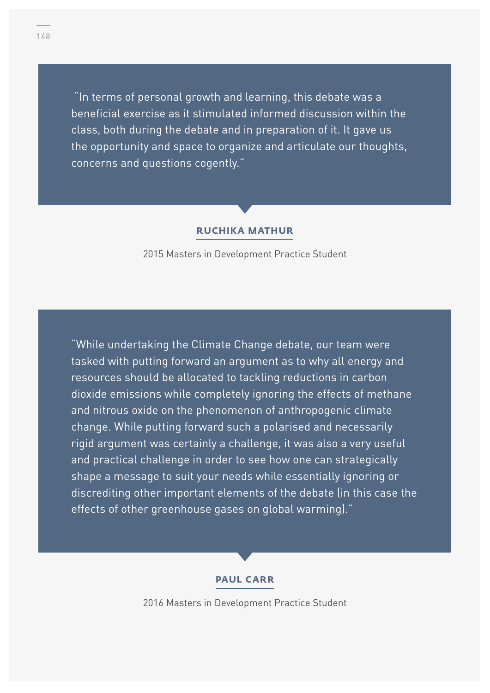"In terms of personal growth and learning, this debate was a beneficial exercise as it stimulated informed discussion within the class, both during the debate and in preparation of it. It gave us the opportunity and space to organize and articulate our thoughts, concerns and questions cogently."

#### **RUCHIKA MATHUR**

2015 Masters in Development Practice Student

"While undertaking the Climate Change debate, our team were tasked with putting forward an argument as to why all energy and resources should be allocated to tackling reductions in carbon dioxide emissions while completely ignoring the effects of methane and nitrous oxide on the phenomenon of anthropogenic climate change. While putting forward such a polarised and necessarily rigid argument was certainly a challenge, it was also a very useful and practical challenge in order to see how one can strategically shape a message to suit your needs while essentially ignoring or discrediting other important elements of the debate (in this case the effects of other greenhouse gases on global warming)."

#### **PAUL CARR**

2016 Masters in Development Practice Student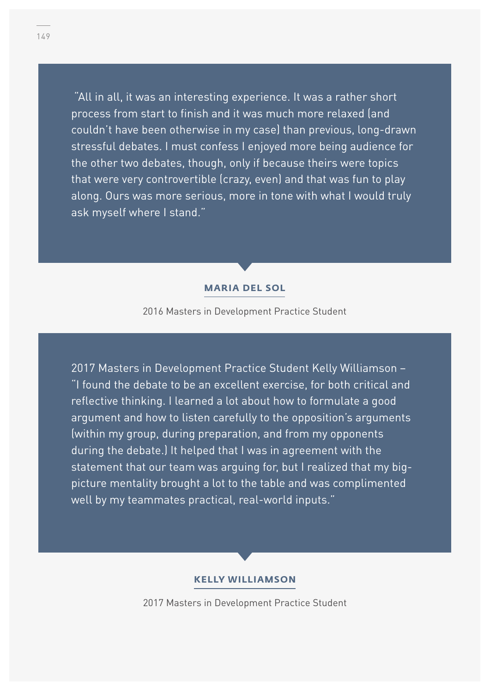"All in all, it was an interesting experience. It was a rather short process from start to finish and it was much more relaxed (and couldn't have been otherwise in my case) than previous, long-drawn stressful debates. I must confess I enjoyed more being audience for the other two debates, though, only if because theirs were topics that were very controvertible (crazy, even) and that was fun to play along. Ours was more serious, more in tone with what I would truly ask myself where I stand."

#### **MARIA DEL SOL**

2016 Masters in Development Practice Student

2017 Masters in Development Practice Student Kelly Williamson – "I found the debate to be an excellent exercise, for both critical and reflective thinking. I learned a lot about how to formulate a good argument and how to listen carefully to the opposition's arguments (within my group, during preparation, and from my opponents during the debate.) It helped that I was in agreement with the statement that our team was arguing for, but I realized that my bigpicture mentality brought a lot to the table and was complimented well by my teammates practical, real-world inputs."

#### **KELLY WILLIAMSON**

2017 Masters in Development Practice Student